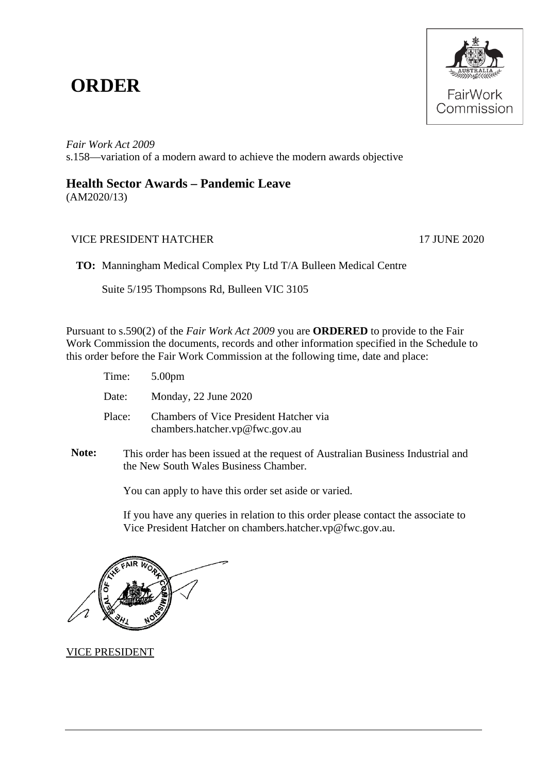## **ORDER**



*Fair Work Act 2009*  s.158—variation of a modern award to achieve the modern awards objective

## **Health Sector Awards – Pandemic Leave**

(AM2020/13)

## VICE PRESIDENT HATCHER 17 JUNE 2020

**TO:** Manningham Medical Complex Pty Ltd T/A Bulleen Medical Centre

Suite 5/195 Thompsons Rd, Bulleen VIC 3105

Pursuant to s.590(2) of the *Fair Work Act 2009* you are **ORDERED** to provide to the Fair Work Commission the documents, records and other information specified in the Schedule to this order before the Fair Work Commission at the following time, date and place:

| Time: $5.00 \text{pm}$ |                                                                          |
|------------------------|--------------------------------------------------------------------------|
| Date:                  | Monday, 22 June 2020                                                     |
| Place:                 | Chambers of Vice President Hatcher via<br>chambers.hatcher.vp@fwc.gov.au |

**Note:** This order has been issued at the request of Australian Business Industrial and the New South Wales Business Chamber*.*

You can apply to have this order set aside or varied.

If you have any queries in relation to this order please contact the associate to Vice President Hatcher on chambers.hatcher.vp@fwc.gov.au.

VICE PRESIDENT